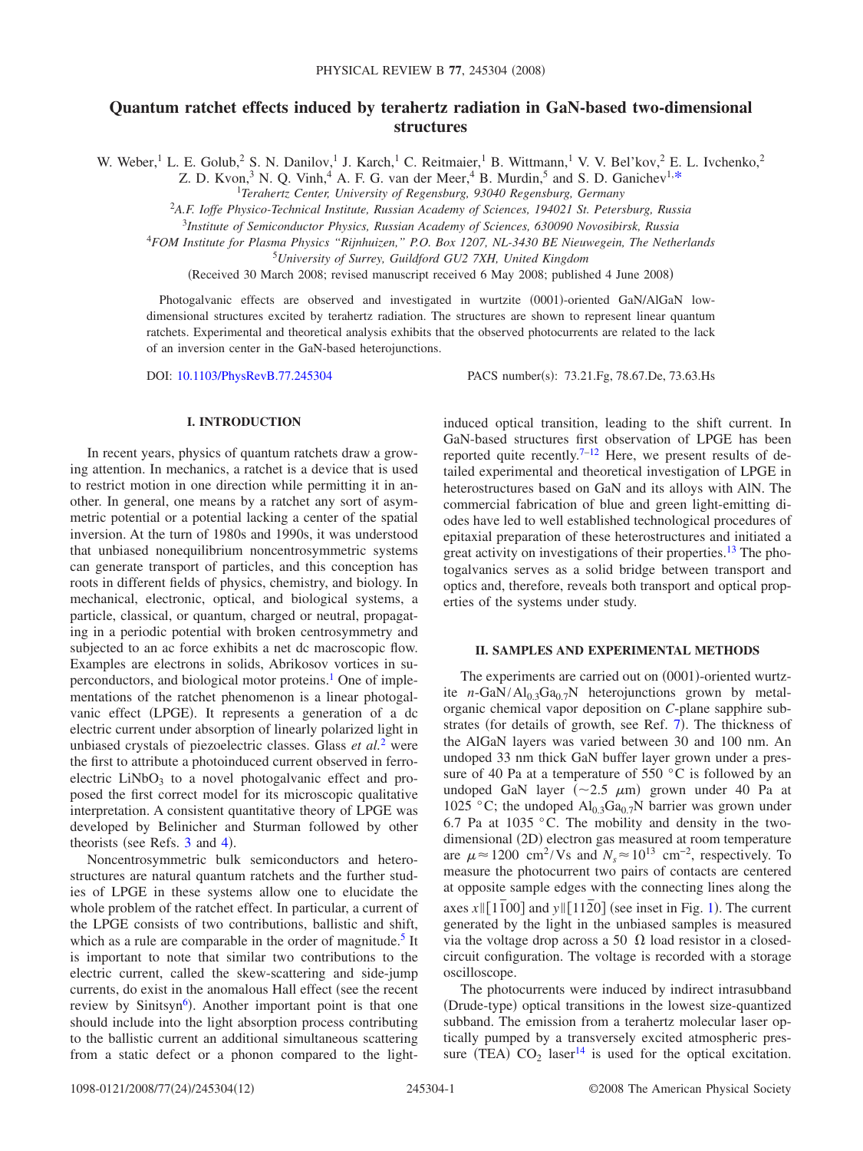# **Quantum ratchet effects induced by terahertz radiation in GaN-based two-dimensional structures**

W. Weber,<sup>1</sup> L. E. Golub,<sup>2</sup> S. N. Danilov,<sup>1</sup> J. Karch,<sup>1</sup> C. Reitmaier,<sup>1</sup> B. Wittmann,<sup>1</sup> V. V. Bel'kov,<sup>2</sup> E. L. Ivchenko,<sup>2</sup>

Z. D. Kvon,<sup>3</sup> N. Q. Vinh,<sup>4</sup> A. F. G. van der Meer,<sup>4</sup> B. Murdin,<sup>5</sup> and S. D. Ganichev<sup>1[,\\*](#page-11-0)</sup>

*Terahertz Center, University of Regensburg, 93040 Regensburg, Germany*

<sup>2</sup>*A.F. Ioffe Physico-Technical Institute, Russian Academy of Sciences, 194021 St. Petersburg, Russia*

<sup>3</sup>*Institute of Semiconductor Physics, Russian Academy of Sciences, 630090 Novosibirsk, Russia*

<sup>4</sup>*FOM Institute for Plasma Physics "Rijnhuizen," P.O. Box 1207, NL-3430 BE Nieuwegein, The Netherlands*

<sup>5</sup>*University of Surrey, Guildford GU2 7XH, United Kingdom*

(Received 30 March 2008; revised manuscript received 6 May 2008; published 4 June 2008)

Photogalvanic effects are observed and investigated in wurtzite (0001)-oriented GaN/AlGaN lowdimensional structures excited by terahertz radiation. The structures are shown to represent linear quantum ratchets. Experimental and theoretical analysis exhibits that the observed photocurrents are related to the lack of an inversion center in the GaN-based heterojunctions.

DOI: [10.1103/PhysRevB.77.245304](http://dx.doi.org/10.1103/PhysRevB.77.245304)

PACS number(s): 73.21.Fg, 78.67.De, 73.63.Hs

# **I. INTRODUCTION**

In recent years, physics of quantum ratchets draw a growing attention. In mechanics, a ratchet is a device that is used to restrict motion in one direction while permitting it in another. In general, one means by a ratchet any sort of asymmetric potential or a potential lacking a center of the spatial inversion. At the turn of 1980s and 1990s, it was understood that unbiased nonequilibrium noncentrosymmetric systems can generate transport of particles, and this conception has roots in different fields of physics, chemistry, and biology. In mechanical, electronic, optical, and biological systems, a particle, classical, or quantum, charged or neutral, propagating in a periodic potential with broken centrosymmetry and subjected to an ac force exhibits a net dc macroscopic flow. Examples are electrons in solids, Abrikosov vortices in superconductors, and biological motor proteins.<sup>1</sup> One of implementations of the ratchet phenomenon is a linear photogalvanic effect (LPGE). It represents a generation of a dc electric current under absorption of linearly polarized light in unbiased crystals of piezoelectric classes. Glass *et al.*[2](#page-11-2) were the first to attribute a photoinduced current observed in ferroelectric  $LiNbO<sub>3</sub>$  to a novel photogalvanic effect and proposed the first correct model for its microscopic qualitative interpretation. A consistent quantitative theory of LPGE was developed by Belinicher and Sturman followed by other theorists (see Refs.  $3$  and  $4$ ).

Noncentrosymmetric bulk semiconductors and heterostructures are natural quantum ratchets and the further studies of LPGE in these systems allow one to elucidate the whole problem of the ratchet effect. In particular, a current of the LPGE consists of two contributions, ballistic and shift, which as a rule are comparable in the order of magnitude.<sup>5</sup> It is important to note that similar two contributions to the electric current, called the skew-scattering and side-jump currents, do exist in the anomalous Hall effect (see the recent review by Sinitsyn<sup>6</sup>). Another important point is that one should include into the light absorption process contributing to the ballistic current an additional simultaneous scattering from a static defect or a phonon compared to the lightinduced optical transition, leading to the shift current. In GaN-based structures first observation of LPGE has been reported quite recently.<sup>7[–12](#page-11-8)</sup> Here, we present results of detailed experimental and theoretical investigation of LPGE in heterostructures based on GaN and its alloys with AlN. The commercial fabrication of blue and green light-emitting diodes have led to well established technological procedures of epitaxial preparation of these heterostructures and initiated a great activity on investigations of their properties.<sup>13</sup> The photogalvanics serves as a solid bridge between transport and optics and, therefore, reveals both transport and optical properties of the systems under study.

### **II. SAMPLES AND EXPERIMENTAL METHODS**

The experiments are carried out on (0001)-oriented wurtzite  $n-\text{GaN}/\text{Al}_{0.3}\text{Ga}_{0.7}\text{N}$  heterojunctions grown by metalorganic chemical vapor deposition on *C*-plane sapphire sub-strates (for details of growth, see Ref. [7](#page-11-7)). The thickness of the AlGaN layers was varied between 30 and 100 nm. An undoped 33 nm thick GaN buffer layer grown under a pressure of 40 Pa at a temperature of 550  $\degree$ C is followed by an undoped GaN layer  $(\sim 2.5 \mu m)$  grown under 40 Pa at 1025 °C; the undoped  $\text{Al}_{0,3}\text{Ga}_{0,7}\text{N}$  barrier was grown under 6.7 Pa at 1035 °C. The mobility and density in the twodimensional (2D) electron gas measured at room temperature are  $\mu \approx 1200 \text{ cm}^2/\text{Vs}$  and  $N_s \approx 10^{13} \text{ cm}^{-2}$ , respectively. To measure the photocurrent two pairs of contacts are centered at opposite sample edges with the connecting lines along the  $\frac{1}{2}$  $\frac{1}{2}$  $\frac{1}{2}$  axes  $x \in [1\overline{1}00]$  and  $y \in [11\overline{2}0]$  (see inset in Fig. 1). The current generated by the light in the unbiased samples is measured via the voltage drop across a 50  $\Omega$  load resistor in a closedcircuit configuration. The voltage is recorded with a storage oscilloscope.

The photocurrents were induced by indirect intrasubband (Drude-type) optical transitions in the lowest size-quantized subband. The emission from a terahertz molecular laser optically pumped by a transversely excited atmospheric pressure (TEA)  $CO_2$  laser<sup>14</sup> is used for the optical excitation.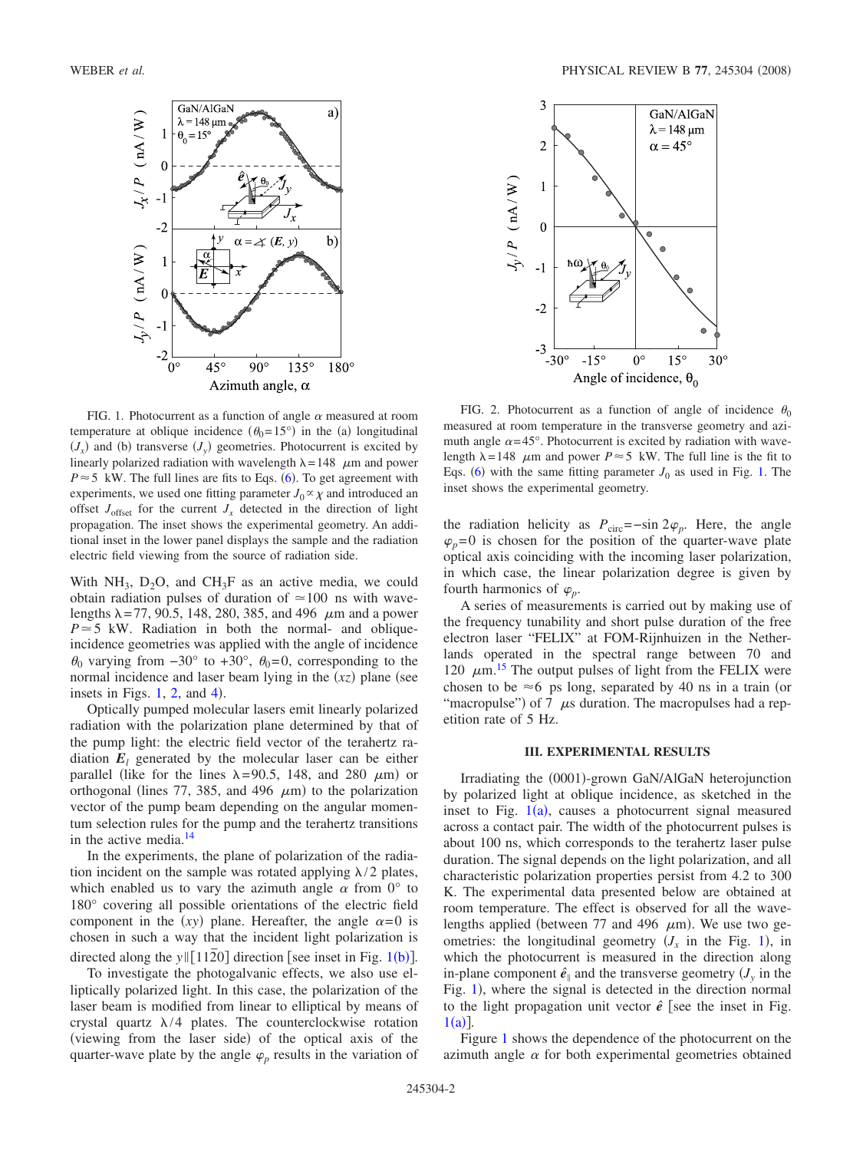<span id="page-1-0"></span>

FIG. 1. Photocurrent as a function of angle  $\alpha$  measured at room temperature at oblique incidence  $(\theta_0=15^\circ)$  in the (a) longitudinal  $J_x$  and (b) transverse  $J_y$  geometries. Photocurrent is excited by linearly polarized radiation with wavelength  $\lambda = 148$   $\mu$ m and power  $P \approx 5$  kW. The full lines are fits to Eqs. ([6](#page-4-0)). To get agreement with experiments, we used one fitting parameter  $J_0 \propto \chi$  and introduced an offset  $J_{\text{offset}}$  for the current  $J_x$  detected in the direction of light propagation. The inset shows the experimental geometry. An additional inset in the lower panel displays the sample and the radiation electric field viewing from the source of radiation side.

With NH<sub>3</sub>, D<sub>2</sub>O, and CH<sub>3</sub>F as an active media, we could obtain radiation pulses of duration of  $\simeq$  100 ns with wavelengths  $\lambda = 77, 90.5, 148, 280, 385,$  and 496  $\mu$ m and a power  $P \approx 5$  kW. Radiation in both the normal- and obliqueincidence geometries was applied with the angle of incidence  $\theta_0$  varying from  $-30^\circ$  to  $+30^\circ$ ,  $\theta_0 = 0$ , corresponding to the normal incidence and laser beam lying in the  $(xz)$  plane (see insets in Figs.  $1, 2$  $1, 2$ , and  $4$ ).

Optically pumped molecular lasers emit linearly polarized radiation with the polarization plane determined by that of the pump light: the electric field vector of the terahertz radiation  $E_l$  generated by the molecular laser can be either parallel (like for the lines  $\lambda = 90.5$ , 148, and 280  $\mu$ m) or orthogonal (lines 77, 385, and 496  $\mu$ m) to the polarization vector of the pump beam depending on the angular momentum selection rules for the pump and the terahertz transitions in the active media[.14](#page-11-10)

In the experiments, the plane of polarization of the radiation incident on the sample was rotated applying  $\lambda/2$  plates, which enabled us to vary the azimuth angle  $\alpha$  from  $0^{\circ}$  to 180° covering all possible orientations of the electric field component in the  $(xy)$  plane. Hereafter, the angle  $\alpha=0$  is chosen in such a way that the incident light polarization is directed along the  $y \parallel [11\overline{2}0]$  $y \parallel [11\overline{2}0]$  $y \parallel [11\overline{2}0]$  direction [see inset in Fig. 1(b)].

To investigate the photogalvanic effects, we also use elliptically polarized light. In this case, the polarization of the laser beam is modified from linear to elliptical by means of crystal quartz  $\lambda/4$  plates. The counterclockwise rotation (viewing from the laser side) of the optical axis of the quarter-wave plate by the angle  $\varphi$ <sub>p</sub> results in the variation of

<span id="page-1-1"></span>

FIG. 2. Photocurrent as a function of angle of incidence  $\theta_0$ measured at room temperature in the transverse geometry and azimuth angle  $\alpha = 45^\circ$ . Photocurrent is excited by radiation with wavelength  $\lambda = 148$   $\mu$ m and power  $P \approx 5$  kW. The full line is the fit to Eqs. ([6](#page-4-0)) with the same fitting parameter  $J_0$  as used in Fig. [1.](#page-1-0) The inset shows the experimental geometry.

the radiation helicity as  $P_{\text{circ}}$ =−sin 2 $\varphi_p$ . Here, the angle  $\varphi_p=0$  is chosen for the position of the quarter-wave plate optical axis coinciding with the incoming laser polarization, in which case, the linear polarization degree is given by fourth harmonics of  $\varphi$ <sub>*p*</sub>.

A series of measurements is carried out by making use of the frequency tunability and short pulse duration of the free electron laser "FELIX" at FOM-Rijnhuizen in the Netherlands operated in the spectral range between 70 and 120  $\mu$ m.<sup>[15](#page-11-11)</sup> The output pulses of light from the FELIX were chosen to be  $\approx$  6 ps long, separated by 40 ns in a train (or "macropulse") of 7  $\mu$ s duration. The macropulses had a repetition rate of 5 Hz.

# **III. EXPERIMENTAL RESULTS**

Irradiating the (0001)-grown GaN/AlGaN heterojunction by polarized light at oblique incidence, as sketched in the inset to Fig.  $1(a)$  $1(a)$ , causes a photocurrent signal measured across a contact pair. The width of the photocurrent pulses is about 100 ns, which corresponds to the terahertz laser pulse duration. The signal depends on the light polarization, and all characteristic polarization properties persist from 4.2 to 300 K. The experimental data presented below are obtained at room temperature. The effect is observed for all the wavelengths applied (between 77 and 496  $\mu$ m). We use two geometries: the longitudinal geometry  $(J_x$  in the Fig. [1](#page-1-0)), in which the photocurrent is measured in the direction along in-plane component  $\hat{e}_{\parallel}$  and the transverse geometry  $(J_{\nu})$  in the Fig. [1](#page-1-0)), where the signal is detected in the direction normal to the light propagation unit vector  $\hat{e}$  [see the inset in Fig.  $1(a)$  $1(a)$ ].

Figure [1](#page-1-0) shows the dependence of the photocurrent on the azimuth angle  $\alpha$  for both experimental geometries obtained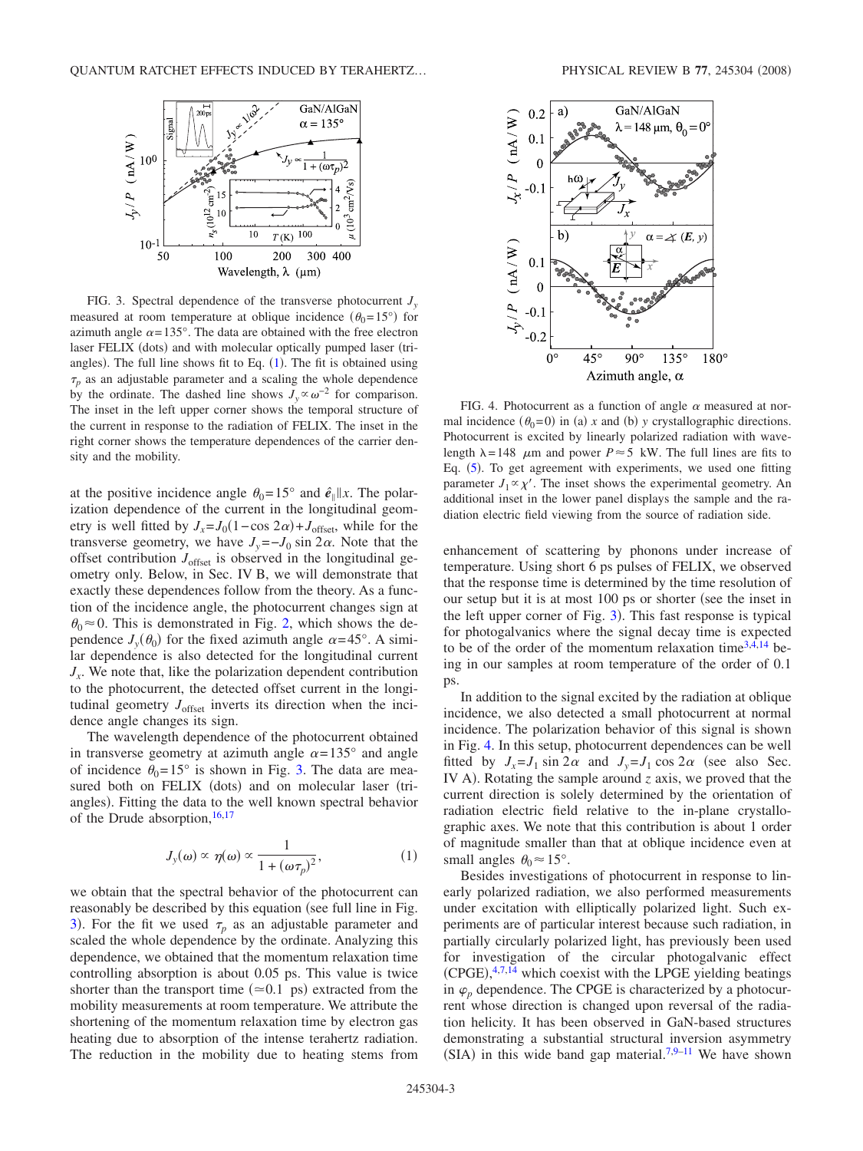<span id="page-2-1"></span>

FIG. 3. Spectral dependence of the transverse photocurrent *J*<sub>*y*</sub> measured at room temperature at oblique incidence  $(\theta_0=15^{\circ})$  for azimuth angle  $\alpha = 135^\circ$ . The data are obtained with the free electron laser FELIX (dots) and with molecular optically pumped laser (triangles). The full line shows fit to Eq.  $(1)$  $(1)$  $(1)$ . The fit is obtained using  $\tau_p$  as an adjustable parameter and a scaling the whole dependence by the ordinate. The dashed line shows  $J_v \propto \omega^{-2}$  for comparison. The inset in the left upper corner shows the temporal structure of the current in response to the radiation of FELIX. The inset in the right corner shows the temperature dependences of the carrier density and the mobility.

at the positive incidence angle  $\theta_0 = 15^\circ$  and  $\hat{e}_\parallel$  *x*. The polarization dependence of the current in the longitudinal geometry is well fitted by  $J_x = J_0(1 - \cos 2\alpha) + J_{\text{offset}}$ , while for the transverse geometry, we have  $J_y = -J_0 \sin 2\alpha$ . Note that the offset contribution *J*offset is observed in the longitudinal geometry only. Below, in Sec. IV B, we will demonstrate that exactly these dependences follow from the theory. As a function of the incidence angle, the photocurrent changes sign at  $\theta_0 \approx 0$ . This is demonstrated in Fig. [2,](#page-1-1) which shows the dependence  $J_y(\theta_0)$  for the fixed azimuth angle  $\alpha = 45^\circ$ . A similar dependence is also detected for the longitudinal current  $J<sub>x</sub>$ . We note that, like the polarization dependent contribution to the photocurrent, the detected offset current in the longitudinal geometry  $J<sub>offset</sub>$  inverts its direction when the incidence angle changes its sign.

The wavelength dependence of the photocurrent obtained in transverse geometry at azimuth angle  $\alpha = 135^{\circ}$  and angle of incidence  $\theta_0 = 15^\circ$  is shown in Fig. [3.](#page-2-1) The data are measured both on FELIX (dots) and on molecular laser (triangles). Fitting the data to the well known spectral behavior of the Drude absorption,  $16,17$  $16,17$ 

$$
J_{y}(\omega) \propto \eta(\omega) \propto \frac{1}{1 + (\omega \tau_{p})^{2}},
$$
 (1)

<span id="page-2-2"></span>we obtain that the spectral behavior of the photocurrent can reasonably be described by this equation (see full line in Fig. [3](#page-2-1)). For the fit we used  $\tau_p$  as an adjustable parameter and scaled the whole dependence by the ordinate. Analyzing this dependence, we obtained that the momentum relaxation time controlling absorption is about 0.05 ps. This value is twice shorter than the transport time  $(\approx 0.1 \text{ ps})$  extracted from the mobility measurements at room temperature. We attribute the shortening of the momentum relaxation time by electron gas heating due to absorption of the intense terahertz radiation. The reduction in the mobility due to heating stems from

<span id="page-2-0"></span>

FIG. 4. Photocurrent as a function of angle  $\alpha$  measured at normal incidence  $(\theta_0=0)$  in (a) x and (b) y crystallographic directions. Photocurrent is excited by linearly polarized radiation with wavelength  $\lambda = 148$   $\mu$ m and power  $P \approx 5$  kW. The full lines are fits to Eq. ([5](#page-4-1)). To get agreement with experiments, we used one fitting parameter  $J_1 \propto \chi'$ . The inset shows the experimental geometry. An additional inset in the lower panel displays the sample and the radiation electric field viewing from the source of radiation side.

enhancement of scattering by phonons under increase of temperature. Using short 6 ps pulses of FELIX, we observed that the response time is determined by the time resolution of our setup but it is at most 100 ps or shorter (see the inset in the left upper corner of Fig. [3](#page-2-1)). This fast response is typical for photogalvanics where the signal decay time is expected to be of the order of the momentum relaxation time $3,4,14$  $3,4,14$  $3,4,14$  being in our samples at room temperature of the order of 0.1 ps.

In addition to the signal excited by the radiation at oblique incidence, we also detected a small photocurrent at normal incidence. The polarization behavior of this signal is shown in Fig. [4.](#page-2-0) In this setup, photocurrent dependences can be well fitted by  $J_x = J_1 \sin 2\alpha$  and  $J_y = J_1 \cos 2\alpha$  (see also Sec. IV A). Rotating the sample around *z* axis, we proved that the current direction is solely determined by the orientation of radiation electric field relative to the in-plane crystallographic axes. We note that this contribution is about 1 order of magnitude smaller than that at oblique incidence even at small angles  $\theta_0 \approx 15^\circ$ .

Besides investigations of photocurrent in response to linearly polarized radiation, we also performed measurements under excitation with elliptically polarized light. Such experiments are of particular interest because such radiation, in partially circularly polarized light, has previously been used for investigation of the circular photogalvanic effect  $(CPGE),$ <sup>[4,](#page-11-4)[7](#page-11-7)[,14](#page-11-10)</sup> which coexist with the LPGE yielding beatings in  $\varphi_n$  dependence. The CPGE is characterized by a photocurrent whose direction is changed upon reversal of the radiation helicity. It has been observed in GaN-based structures demonstrating a substantial structural inversion asymmetry (SIA) in this wide band gap material.<sup>7[,9–](#page-11-14)[11](#page-11-15)</sup> We have shown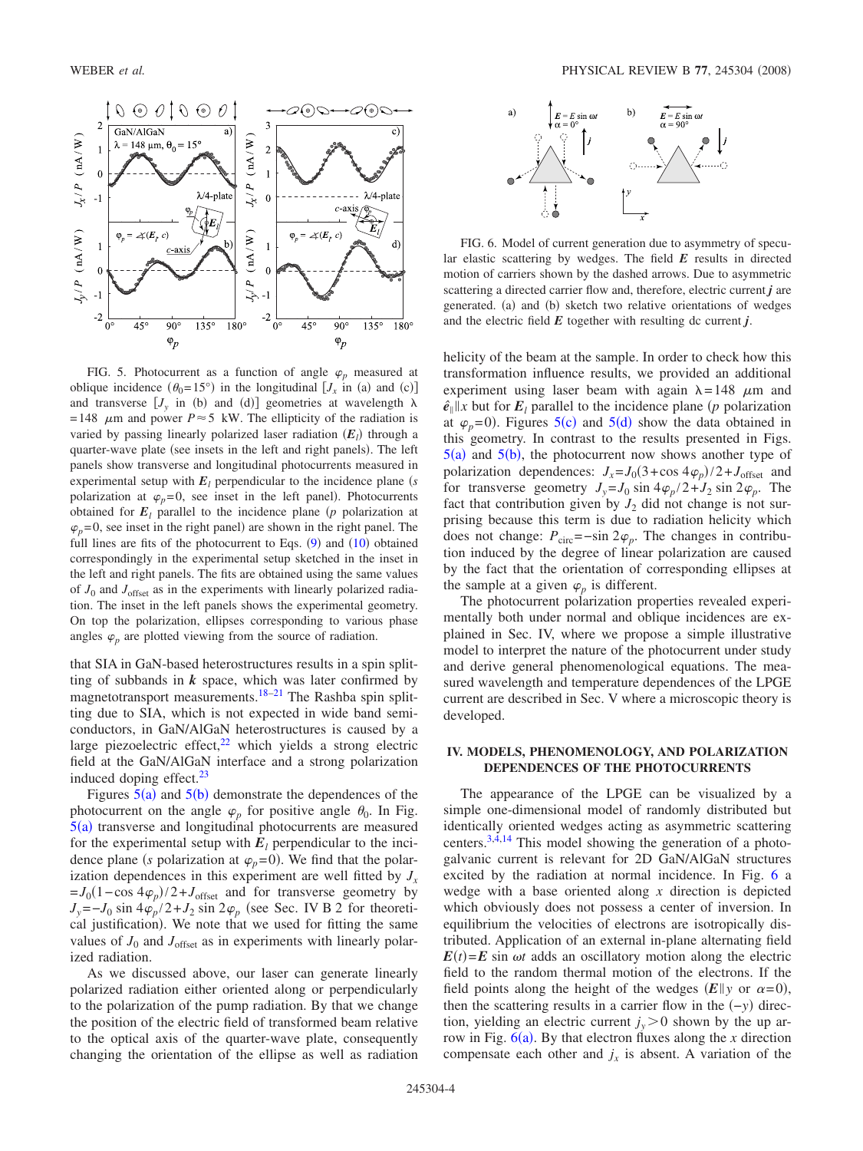<span id="page-3-0"></span>

FIG. 5. Photocurrent as a function of angle  $\varphi$ <sub>p</sub> measured at oblique incidence  $(\theta_0 = 15^\circ)$  in the longitudinal  $[J_x \text{ in (a) and (c)}]$ and transverse  $[J_y \text{ in (b) and (d)}]$  geometries at wavelength  $\lambda$ =148  $\mu$ m and power *P*  $\approx$  5 kW. The ellipticity of the radiation is varied by passing linearly polarized laser radiation  $(E_l)$  through a quarter-wave plate (see insets in the left and right panels). The left panels show transverse and longitudinal photocurrents measured in experimental setup with  $E_l$  perpendicular to the incidence plane *(s*) polarization at  $\varphi_p = 0$ , see inset in the left panel). Photocurrents obtained for  $E_l$  parallel to the incidence plane ( $p$  polarization at  $\varphi_p = 0$ , see inset in the right panel) are shown in the right panel. The full lines are fits of the photocurrent to Eqs.  $(9)$  $(9)$  $(9)$  and  $(10)$  $(10)$  $(10)$  obtained correspondingly in the experimental setup sketched in the inset in the left and right panels. The fits are obtained using the same values of  $J_0$  and  $J_{\text{offset}}$  as in the experiments with linearly polarized radiation. The inset in the left panels shows the experimental geometry. On top the polarization, ellipses corresponding to various phase angles  $\varphi$  are plotted viewing from the source of radiation.

that SIA in GaN-based heterostructures results in a spin splitting of subbands in  $k$  space, which was later confirmed by magnetotransport measurements.<sup>18[–21](#page-11-17)</sup> The Rashba spin splitting due to SIA, which is not expected in wide band semiconductors, in GaN/AlGaN heterostructures is caused by a large piezoelectric effect,<sup>22</sup> which yields a strong electric field at the GaN/AlGaN interface and a strong polarization induced doping effect. $^{23}$ 

Figures  $5(a)$  $5(a)$  and  $5(b)$  demonstrate the dependences of the photocurrent on the angle  $\varphi_p$  for positive angle  $\theta_0$ . In Fig.  $5(a)$  $5(a)$  transverse and longitudinal photocurrents are measured for the experimental setup with  $E_l$  perpendicular to the incidence plane *(s* polarization at  $\varphi_p = 0$ ). We find that the polarization dependences in this experiment are well fitted by  $J_x$  $= J_0(1-\cos 4\varphi_p)/2+J_{\text{offset}}$  and for transverse geometry by  $J_v = -J_0 \sin 4\varphi_p/2 + J_2 \sin 2\varphi_p$  (see Sec. IV B 2 for theoretical justification). We note that we used for fitting the same values of  $J_0$  and  $J_{\text{offset}}$  as in experiments with linearly polarized radiation.

As we discussed above, our laser can generate linearly polarized radiation either oriented along or perpendicularly to the polarization of the pump radiation. By that we change the position of the electric field of transformed beam relative to the optical axis of the quarter-wave plate, consequently changing the orientation of the ellipse as well as radiation

<span id="page-3-1"></span>

FIG. 6. Model of current generation due to asymmetry of specular elastic scattering by wedges. The field *E* results in directed motion of carriers shown by the dashed arrows. Due to asymmetric scattering a directed carrier flow and, therefore, electric current *j* are generated. (a) and (b) sketch two relative orientations of wedges and the electric field  $E$  together with resulting dc current  $j$ .

helicity of the beam at the sample. In order to check how this transformation influence results, we provided an additional experiment using laser beam with again  $\lambda = 148$   $\mu$ m and  $\hat{e}_{\parallel}$  *x* but for  $E_l$  parallel to the incidence plane (*p* polarization at  $\varphi_p$ =0). Figures [5](#page-3-0)(c) and 5(d) show the data obtained in this geometry. In contrast to the results presented in Figs.  $5(a)$  $5(a)$  and  $5(b)$ , the photocurrent now shows another type of polarization dependences:  $J_x = J_0(3 + \cos 4\varphi_p)/2 + J_{offset}$  and for transverse geometry  $J_v = J_0 \sin 4\varphi_p / 2 + J_2 \sin 2\varphi_p$ . The fact that contribution given by  $J_2$  did not change is not surprising because this term is due to radiation helicity which does not change:  $P_{\text{circ}} = -\sin 2\varphi_p$ . The changes in contribution induced by the degree of linear polarization are caused by the fact that the orientation of corresponding ellipses at the sample at a given  $\varphi$ <sub>*n*</sub> is different.

The photocurrent polarization properties revealed experimentally both under normal and oblique incidences are explained in Sec. IV, where we propose a simple illustrative model to interpret the nature of the photocurrent under study and derive general phenomenological equations. The measured wavelength and temperature dependences of the LPGE current are described in Sec. V where a microscopic theory is developed.

# **IV. MODELS, PHENOMENOLOGY, AND POLARIZATION DEPENDENCES OF THE PHOTOCURRENTS**

The appearance of the LPGE can be visualized by a simple one-dimensional model of randomly distributed but identically oriented wedges acting as asymmetric scattering centers[.3](#page-11-3)[,4](#page-11-4)[,14](#page-11-10) This model showing the generation of a photogalvanic current is relevant for 2D GaN/AlGaN structures excited by the radiation at normal incidence. In Fig. [6](#page-3-1) a wedge with a base oriented along *x* direction is depicted which obviously does not possess a center of inversion. In equilibrium the velocities of electrons are isotropically distributed. Application of an external in-plane alternating field  $E(t) = E \sin \omega t$  adds an oscillatory motion along the electric field to the random thermal motion of the electrons. If the field points along the height of the wedges  $(E||y)$  or  $\alpha=0$ ), then the scattering results in a carrier flow in the  $(-y)$  direction, yielding an electric current  $j_v > 0$  shown by the up arrow in Fig.  $6(a)$  $6(a)$ . By that electron fluxes along the *x* direction compensate each other and  $j_x$  is absent. A variation of the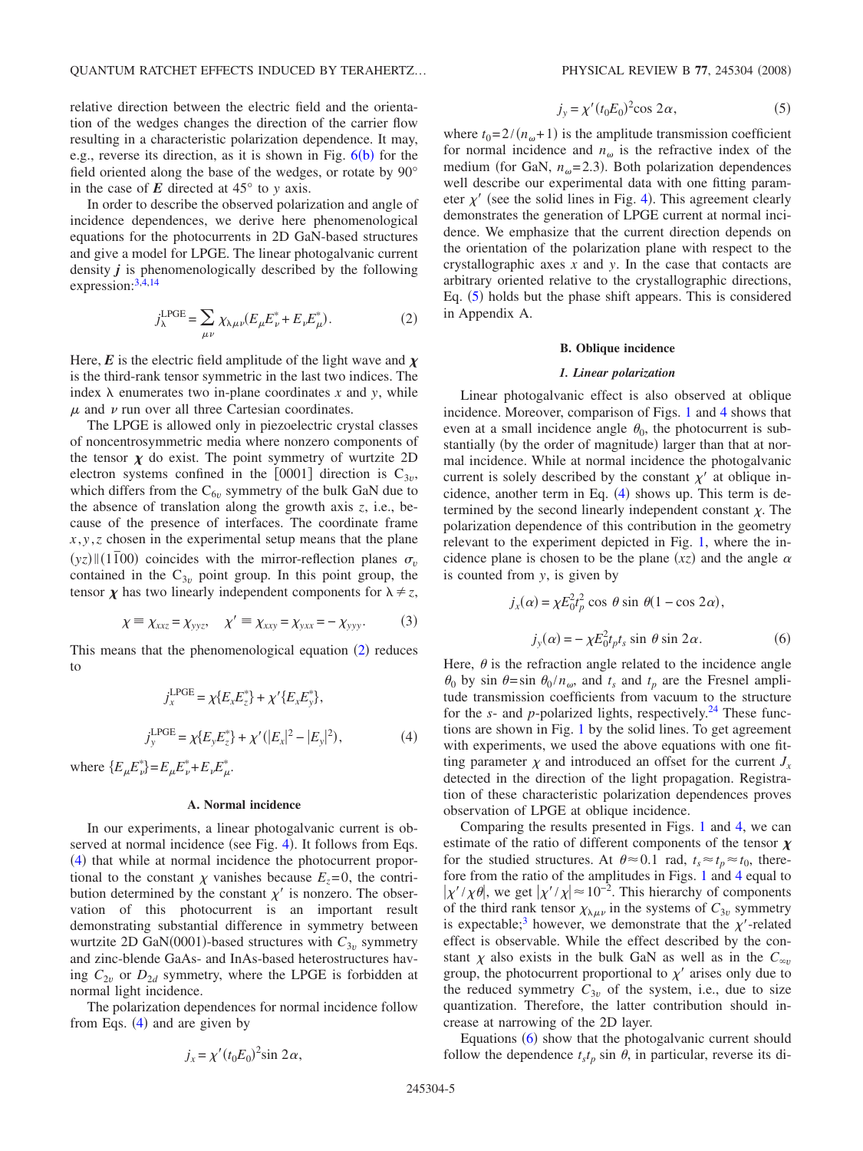relative direction between the electric field and the orientation of the wedges changes the direction of the carrier flow resulting in a characteristic polarization dependence. It may, e.g., reverse its direction, as it is shown in Fig.  $6(b)$  $6(b)$  for the field oriented along the base of the wedges, or rotate by 90° in the case of  $E$  directed at  $45^{\circ}$  to *y* axis.

In order to describe the observed polarization and angle of incidence dependences, we derive here phenomenological equations for the photocurrents in 2D GaN-based structures and give a model for LPGE. The linear photogalvanic current density *j* is phenomenologically described by the following expression: $3,4,14$  $3,4,14$  $3,4,14$ 

$$
j_{\lambda}^{\text{LPGE}} = \sum_{\mu\nu} \chi_{\lambda\mu\nu} (E_{\mu} E_{\nu}^* + E_{\nu} E_{\mu}^*).
$$
 (2)

<span id="page-4-2"></span>Here,  $\vec{E}$  is the electric field amplitude of the light wave and  $\chi$ is the third-rank tensor symmetric in the last two indices. The index  $\lambda$  enumerates two in-plane coordinates x and y, while  $\mu$  and  $\nu$  run over all three Cartesian coordinates.

The LPGE is allowed only in piezoelectric crystal classes of noncentrosymmetric media where nonzero components of the tensor  $\chi$  do exist. The point symmetry of wurtzite 2D electron systems confined in the  $[0001]$  direction is  $C_{3v}$ , which differs from the  $C_{6v}$  symmetry of the bulk GaN due to the absence of translation along the growth axis *z*, i.e., because of the presence of interfaces. The coordinate frame  $x, y, z$  chosen in the experimental setup means that the plane  $(yz)$   $\parallel$  (1<sup> $7$ </sup>)(1<sup> $\overline{1}$ </sup>)(1<sup> $\overline{1}$ </sup>) coincides with the mirror-reflection planes  $\sigma$ <sub>v</sub> contained in the  $C_{3v}$  point group. In this point group, the tensor  $\chi$  has two linearly independent components for  $\lambda \neq z$ ,

$$
\chi \equiv \chi_{xxz} = \chi_{yyz}, \quad \chi' \equiv \chi_{xxy} = \chi_{yxx} = -\chi_{yyy}.
$$
 (3)

This means that the phenomenological equation  $(2)$  $(2)$  $(2)$  reduces to

$$
j_x^{\text{LPGE}} = \chi \{ E_x E_z^* \} + \chi' \{ E_x E_y^* \},
$$
  

$$
j_y^{\text{LPGE}} = \chi \{ E_y E_z^* \} + \chi' (|E_x|^2 - |E_y|^2),
$$
 (4)

<span id="page-4-3"></span>where  $\{E_{\mu}E_{\nu}^*\}=E_{\mu}E_{\nu}^*+E_{\nu}E_{\mu}^*$ .

#### **A. Normal incidence**

In our experiments, a linear photogalvanic current is ob-served at normal incidence (see Fig. [4](#page-2-0)). It follows from Eqs. ([4](#page-4-3)) that while at normal incidence the photocurrent proportional to the constant  $\chi$  vanishes because  $E_z = 0$ , the contribution determined by the constant  $\chi'$  is nonzero. The observation of this photocurrent is an important result demonstrating substantial difference in symmetry between wurtzite 2D GaN(0001)-based structures with  $C_{3v}$  symmetry and zinc-blende GaAs- and InAs-based heterostructures having  $C_{2v}$  or  $D_{2d}$  symmetry, where the LPGE is forbidden at normal light incidence.

<span id="page-4-1"></span>The polarization dependences for normal incidence follow from Eqs.  $(4)$  $(4)$  $(4)$  and are given by

$$
j_x = \chi'(t_0 E_0)^2 \sin 2\alpha,
$$

$$
j_y = \chi'(t_0 E_0)^2 \cos 2\alpha, \qquad (5)
$$

where  $t_0 = 2/(n_{\omega} + 1)$  is the amplitude transmission coefficient for normal incidence and  $n_{\omega}$  is the refractive index of the medium (for GaN,  $n_{\omega}$ =2.3). Both polarization dependences well describe our experimental data with one fitting parameter  $\chi'$  (see the solid lines in Fig. [4](#page-2-0)). This agreement clearly demonstrates the generation of LPGE current at normal incidence. We emphasize that the current direction depends on the orientation of the polarization plane with respect to the crystallographic axes *x* and *y*. In the case that contacts are arbitrary oriented relative to the crystallographic directions, Eq. ([5](#page-4-1)) holds but the phase shift appears. This is considered in Appendix A.

# **B. Oblique incidence**

#### *1. Linear polarization*

Linear photogalvanic effect is also observed at oblique incidence. Moreover, comparison of Figs. [1](#page-1-0) and [4](#page-2-0) shows that even at a small incidence angle  $\theta_0$ , the photocurrent is substantially (by the order of magnitude) larger than that at normal incidence. While at normal incidence the photogalvanic current is solely described by the constant  $\chi'$  at oblique incidence, another term in Eq.  $(4)$  $(4)$  $(4)$  shows up. This term is determined by the second linearly independent constant  $\chi$ . The polarization dependence of this contribution in the geometry relevant to the experiment depicted in Fig. [1,](#page-1-0) where the incidence plane is chosen to be the plane  $(xz)$  and the angle  $\alpha$ is counted from *y*, is given by

$$
j_x(\alpha) = \chi E_0^2 t_p^2 \cos \theta \sin \theta (1 - \cos 2\alpha),
$$
  

$$
j_y(\alpha) = -\chi E_0^2 t_p t_s \sin \theta \sin 2\alpha.
$$
 (6)

<span id="page-4-0"></span>Here,  $\theta$  is the refraction angle related to the incidence angle  $\theta_0$  by sin  $\theta = \sin \theta_0 / n_\omega$ , and  $t_s$  and  $t_p$  are the Fresnel amplitude transmission coefficients from vacuum to the structure for the  $s$ - and  $p$ -polarized lights, respectively.<sup>24</sup> These functions are shown in Fig. [1](#page-1-0) by the solid lines. To get agreement with experiments, we used the above equations with one fitting parameter  $\chi$  and introduced an offset for the current  $J<sub>x</sub>$ detected in the direction of the light propagation. Registration of these characteristic polarization dependences proves observation of LPGE at oblique incidence.

Comparing the results presented in Figs. [1](#page-1-0) and [4,](#page-2-0) we can estimate of the ratio of different components of the tensor  $\chi$ for the studied structures. At  $\theta \approx 0.1$  rad,  $t_s \approx t_p \approx t_0$ , therefore from the ratio of the amplitudes in Figs. [1](#page-1-0) and [4](#page-2-0) equal to  $|\chi'$  /  $\chi$   $\theta$ , we get  $|\chi'$  /  $\chi$  ≈ 10<sup>-2</sup>. This hierarchy of components of the third rank tensor  $\chi_{\lambda\mu\nu}$  in the systems of  $C_{3\nu}$  symmetry is expectable;<sup>3</sup> however, we demonstrate that the  $\chi'$ -related effect is observable. While the effect described by the constant  $\chi$  also exists in the bulk GaN as well as in the  $C_{\infty}$ group, the photocurrent proportional to  $\chi'$  arises only due to the reduced symmetry  $C_{3v}$  of the system, i.e., due to size quantization. Therefore, the latter contribution should increase at narrowing of the 2D layer.

Equations ([6](#page-4-0)) show that the photogalvanic current should follow the dependence  $t<sub>s</sub>t<sub>p</sub>$  sin  $\theta$ , in particular, reverse its di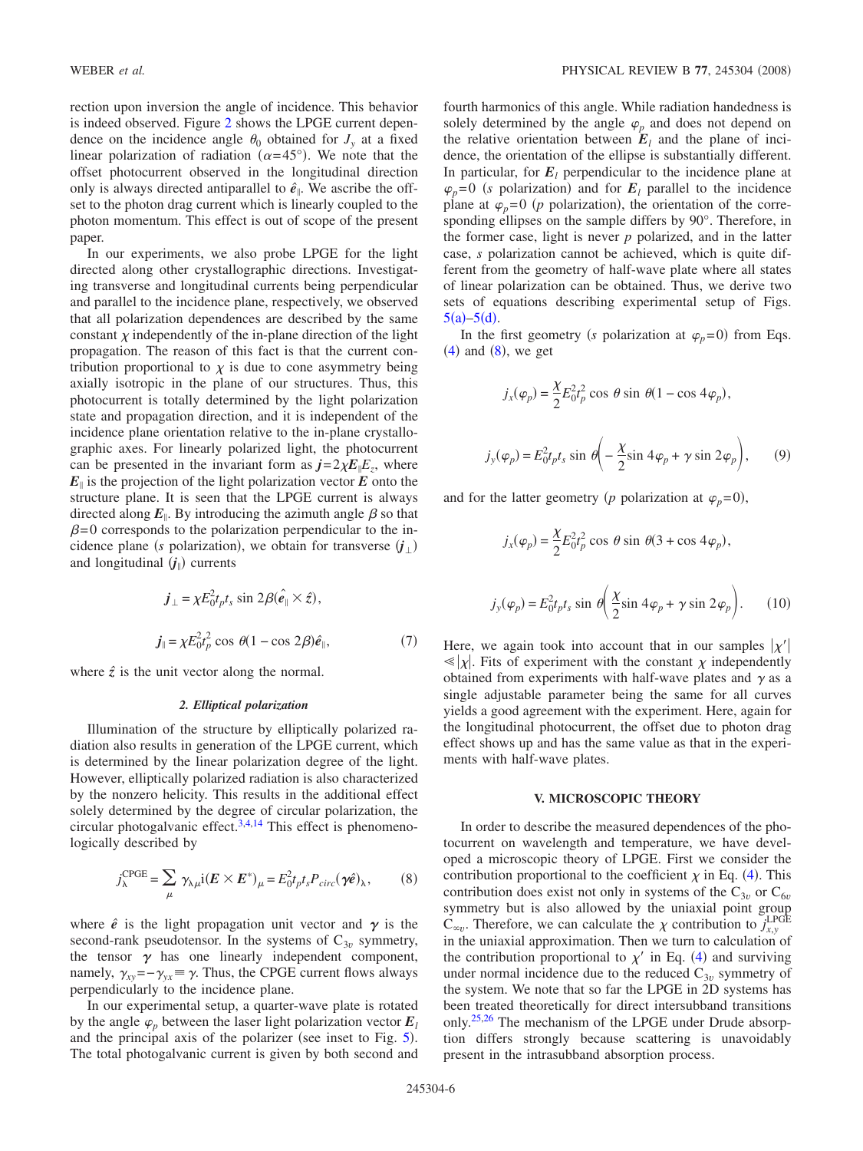rection upon inversion the angle of incidence. This behavior is indeed observed. Figure [2](#page-1-1) shows the LPGE current dependence on the incidence angle  $\theta_0$  obtained for  $J_v$  at a fixed linear polarization of radiation ( $\alpha$ =45°). We note that the offset photocurrent observed in the longitudinal direction only is always directed antiparallel to  $\hat{e}_{\parallel}$ . We ascribe the offset to the photon drag current which is linearly coupled to the photon momentum. This effect is out of scope of the present paper.

In our experiments, we also probe LPGE for the light directed along other crystallographic directions. Investigating transverse and longitudinal currents being perpendicular and parallel to the incidence plane, respectively, we observed that all polarization dependences are described by the same constant  $\chi$  independently of the in-plane direction of the light propagation. The reason of this fact is that the current contribution proportional to  $\chi$  is due to cone asymmetry being axially isotropic in the plane of our structures. Thus, this photocurrent is totally determined by the light polarization state and propagation direction, and it is independent of the incidence plane orientation relative to the in-plane crystallographic axes. For linearly polarized light, the photocurrent can be presented in the invariant form as  $j=2\chi E/E_z$ , where  $E_{\parallel}$  is the projection of the light polarization vector  $E$  onto the structure plane. It is seen that the LPGE current is always directed along  $E_{\parallel}$ . By introducing the azimuth angle  $\beta$  so that  $\beta$ =0 corresponds to the polarization perpendicular to the incidence plane (*s* polarization), we obtain for transverse  $(\mathbf{j}_\perp)$ and longitudinal  $(j_{\parallel})$  currents

$$
\begin{aligned} \mathbf{j}_{\perp} &= \chi E_0^2 t_p t_s \sin 2\beta (\hat{\mathbf{e}}_{\parallel} \times \hat{z}), \\ \mathbf{j}_{\parallel} &= \chi E_0^2 t_p^2 \cos \theta (1 - \cos 2\beta) \hat{\mathbf{e}}_{\parallel}, \end{aligned} \tag{7}
$$

<span id="page-5-3"></span>where  $\hat{z}$  is the unit vector along the normal.

#### *2. Elliptical polarization*

Illumination of the structure by elliptically polarized radiation also results in generation of the LPGE current, which is determined by the linear polarization degree of the light. However, elliptically polarized radiation is also characterized by the nonzero helicity. This results in the additional effect solely determined by the degree of circular polarization, the circular photogalvanic effect. $3,4,14$  $3,4,14$  $3,4,14$  This effect is phenomenologically described by

$$
j_{\lambda}^{\text{CPGE}} = \sum_{\mu} \gamma_{\lambda \mu} \mathbf{i} (E \times E^*)_{\mu} = E_0^2 t_p t_s P_{circ} (\gamma \hat{e})_{\lambda}, \qquad (8)
$$

<span id="page-5-2"></span>where  $\hat{e}$  is the light propagation unit vector and  $\gamma$  is the second-rank pseudotensor. In the systems of  $C_{3v}$  symmetry, the tensor  $\gamma$  has one linearly independent component, namely,  $\gamma_{xy} = -\gamma_{yx} \equiv \gamma$ . Thus, the CPGE current flows always perpendicularly to the incidence plane.

In our experimental setup, a quarter-wave plate is rotated by the angle  $\varphi$ <sub>p</sub> between the laser light polarization vector  $E_l$ and the principal axis of the polarizer (see inset to Fig. [5](#page-3-0)). The total photogalvanic current is given by both second and fourth harmonics of this angle. While radiation handedness is solely determined by the angle  $\varphi$ <sub>p</sub> and does not depend on the relative orientation between  $E_l$  and the plane of incidence, the orientation of the ellipse is substantially different. In particular, for  $E_l$  perpendicular to the incidence plane at  $\varphi_p = 0$  (*s* polarization) and for  $E_l$  parallel to the incidence plane at  $\varphi_p = 0$  (*p* polarization), the orientation of the corresponding ellipses on the sample differs by 90°. Therefore, in the former case, light is never *p* polarized, and in the latter case, *s* polarization cannot be achieved, which is quite different from the geometry of half-wave plate where all states of linear polarization can be obtained. Thus, we derive two sets of equations describing experimental setup of Figs.  $5(a) - 5(d)$  $5(a) - 5(d)$ .

In the first geometry *(s* polarization at  $\varphi_p = 0$ ) from Eqs.  $(4)$  $(4)$  $(4)$  and  $(8)$  $(8)$  $(8)$ , we get

<span id="page-5-0"></span>
$$
j_x(\varphi_p) = \frac{\chi}{2} E_0^2 t_p^2 \cos \theta \sin \theta (1 - \cos 4\varphi_p),
$$
  

$$
j_y(\varphi_p) = E_0^2 t_p t_s \sin \theta \left( -\frac{\chi}{2} \sin 4\varphi_p + \gamma \sin 2\varphi_p \right), \qquad (9)
$$

and for the latter geometry (*p* polarization at  $\varphi_p = 0$ ),

<span id="page-5-1"></span>
$$
j_x(\varphi_p) = \frac{\chi}{2} E_0^2 t_p^2 \cos \theta \sin \theta (3 + \cos 4\varphi_p),
$$
  

$$
j_y(\varphi_p) = E_0^2 t_p t_s \sin \theta \left(\frac{\chi}{2} \sin 4\varphi_p + \gamma \sin 2\varphi_p\right).
$$
 (10)

Here, we again took into account that in our samples  $|\chi'|$  $\ll |\chi|$ . Fits of experiment with the constant  $\chi$  independently obtained from experiments with half-wave plates and  $\gamma$  as a single adjustable parameter being the same for all curves yields a good agreement with the experiment. Here, again for the longitudinal photocurrent, the offset due to photon drag effect shows up and has the same value as that in the experiments with half-wave plates.

#### **V. MICROSCOPIC THEORY**

In order to describe the measured dependences of the photocurrent on wavelength and temperature, we have developed a microscopic theory of LPGE. First we consider the contribution proportional to the coefficient  $\chi$  in Eq. ([4](#page-4-3)). This contribution does exist not only in systems of the  $C_{3v}$  or  $C_{6v}$ symmetry but is also allowed by the uniaxial point group  $C_{\infty}$ . Therefore, we can calculate the  $\chi$  contribution to *j*<sup>LPGE</sup> in the uniaxial approximation. Then we turn to calculation of the contribution proportional to  $\chi'$  in Eq. ([4](#page-4-3)) and surviving under normal incidence due to the reduced  $C_{3v}$  symmetry of the system. We note that so far the LPGE in 2D systems has been treated theoretically for direct intersubband transitions only.<sup>25[,26](#page-11-22)</sup> The mechanism of the LPGE under Drude absorption differs strongly because scattering is unavoidably present in the intrasubband absorption process.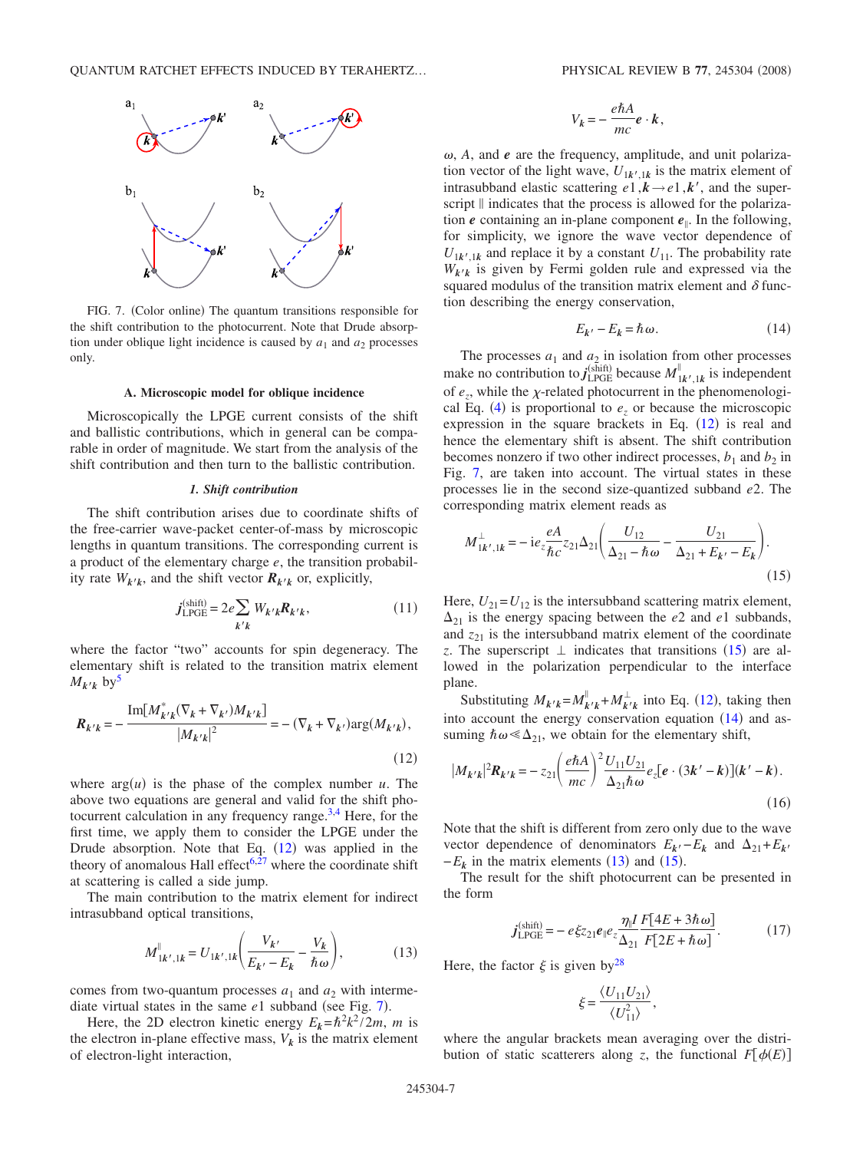<span id="page-6-1"></span>

FIG. 7. (Color online) The quantum transitions responsible for the shift contribution to the photocurrent. Note that Drude absorption under oblique light incidence is caused by  $a_1$  and  $a_2$  processes only.

#### **A. Microscopic model for oblique incidence**

Microscopically the LPGE current consists of the shift and ballistic contributions, which in general can be comparable in order of magnitude. We start from the analysis of the shift contribution and then turn to the ballistic contribution.

### *1. Shift contribution*

The shift contribution arises due to coordinate shifts of the free-carrier wave-packet center-of-mass by microscopic lengths in quantum transitions. The corresponding current is a product of the elementary charge *e*, the transition probability rate  $W_{k'k}$ , and the shift vector  $R_{k'k}$  or, explicitly,

$$
j_{\text{LPGE}}^{(\text{shift})} = 2e \sum_{k'k} W_{k'k} R_{k'k},\tag{11}
$$

<span id="page-6-5"></span>where the factor "two" accounts for spin degeneracy. The elementary shift is related to the transition matrix element  $M_{k'k}$  by<sup>5</sup>

<span id="page-6-0"></span>
$$
R_{k'k} = -\frac{\text{Im}[M_{k'k}^*(\nabla_k + \nabla_{k'})M_{k'k}]}{|M_{k'k}|^2} = -(\nabla_k + \nabla_{k'})\text{arg}(M_{k'k}),
$$
\n(12)

where  $arg(u)$  is the phase of the complex number  $u$ . The above two equations are general and valid for the shift photocurrent calculation in any frequency range. $3,4$  $3,4$  Here, for the first time, we apply them to consider the LPGE under the Drude absorption. Note that Eq.  $(12)$  $(12)$  $(12)$  was applied in the theory of anomalous Hall effect<sup>6,[27](#page-11-23)</sup> where the coordinate shift at scattering is called a side jump.

The main contribution to the matrix element for indirect intrasubband optical transitions,

$$
M_{1k',1k}^{\parallel} = U_{1k',1k} \left( \frac{V_{k'}}{E_{k'} - E_k} - \frac{V_k}{\hbar \omega} \right),
$$
 (13)

<span id="page-6-4"></span>comes from two-quantum processes  $a_1$  and  $a_2$  with intermediate virtual states in the same  $e1$  subband (see Fig. [7](#page-6-1)).

Here, the 2D electron kinetic energy  $E_k = \hbar^2 k^2 / 2m$ , *m* is the electron in-plane effective mass,  $V_k$  is the matrix element of electron-light interaction,

$$
V_k = -\frac{e\hbar A}{mc} \mathbf{e} \cdot \mathbf{k},
$$

 $\omega$ , *A*, and *e* are the frequency, amplitude, and unit polarization vector of the light wave,  $U_{1k',1k}$  is the matrix element of intrasubband elastic scattering  $e_1, k \rightarrow e_1, k'$ , and the superscript  $\parallel$  indicates that the process is allowed for the polarization  $e$  containing an in-plane component  $e_{\parallel}$ . In the following, for simplicity, we ignore the wave vector dependence of  $U_{1k',1k}$  and replace it by a constant  $U_{11}$ . The probability rate  $W_{k/k}$  is given by Fermi golden rule and expressed via the squared modulus of the transition matrix element and  $\delta$  function describing the energy conservation,

$$
E_{k'} - E_k = \hbar \omega. \tag{14}
$$

<span id="page-6-3"></span>The processes  $a_1$  and  $a_2$  in isolation from other processes make no contribution to *j*<sub>LPGE</sub> because  $M_{1k',1k}^{\parallel}$  is independent of  $e_z$ , while the  $\chi$ -related photocurrent in the phenomenologi-cal Eq. ([4](#page-4-3)) is proportional to  $e_z$  or because the microscopic expression in the square brackets in Eq.  $(12)$  $(12)$  $(12)$  is real and hence the elementary shift is absent. The shift contribution becomes nonzero if two other indirect processes,  $b_1$  and  $b_2$  in Fig. [7,](#page-6-1) are taken into account. The virtual states in these processes lie in the second size-quantized subband *e*2. The corresponding matrix element reads as

<span id="page-6-2"></span>
$$
M_{1k',1k}^{\perp} = -ie_z \frac{eA}{\hbar c} z_{21} \Delta_{21} \left( \frac{U_{12}}{\Delta_{21} - \hbar \omega} - \frac{U_{21}}{\Delta_{21} + E_{k'} - E_k} \right). \tag{15}
$$

Here,  $U_{21} = U_{12}$  is the intersubband scattering matrix element,  $\Delta_{21}$  is the energy spacing between the *e*2 and *e*1 subbands, and  $z_{21}$  is the intersubband matrix element of the coordinate z. The superscript  $\perp$  indicates that transitions ([15](#page-6-2)) are allowed in the polarization perpendicular to the interface plane.

Substituting  $M_{k'k} = M_{k'k}^{\parallel} + M_{k'k}^{\perp}$  into Eq. ([12](#page-6-0)), taking then into account the energy conservation equation  $(14)$  $(14)$  $(14)$  and assuming  $\hbar \omega \ll \Delta_{21}$ , we obtain for the elementary shift,

<span id="page-6-7"></span>
$$
|M_{k'k}|^2 R_{k'k} = -z_{21} \left(\frac{e\hbar A}{mc}\right)^2 \frac{U_{11}U_{21}}{\Delta_{21}\hbar \omega} e_z [e \cdot (3k'-k)](k'-k).
$$
\n(16)

Note that the shift is different from zero only due to the wave vector dependence of denominators  $E_k - E_k$  and  $\Delta_{21} + E_k$ ) and  $(15)$  $(15)$  $(15)$ .

The result for the shift photocurrent can be presented in the form

$$
\boldsymbol{j}_{\text{LPGE}}^{(\text{shift})} = -e \xi z_{21} e_{\parallel} e_z \frac{\eta_{\parallel} I}{\Delta_{21}} \frac{F[4E + 3\hbar \omega]}{F[2E + \hbar \omega]}.
$$
(17)

<span id="page-6-6"></span>Here, the factor  $\xi$  is given by<sup>28</sup>

$$
\xi = \frac{\langle U_{11} U_{21} \rangle}{\langle U_{11}^2 \rangle},
$$

where the angular brackets mean averaging over the distribution of static scatterers along *z*, the functional  $F[\phi(E)]$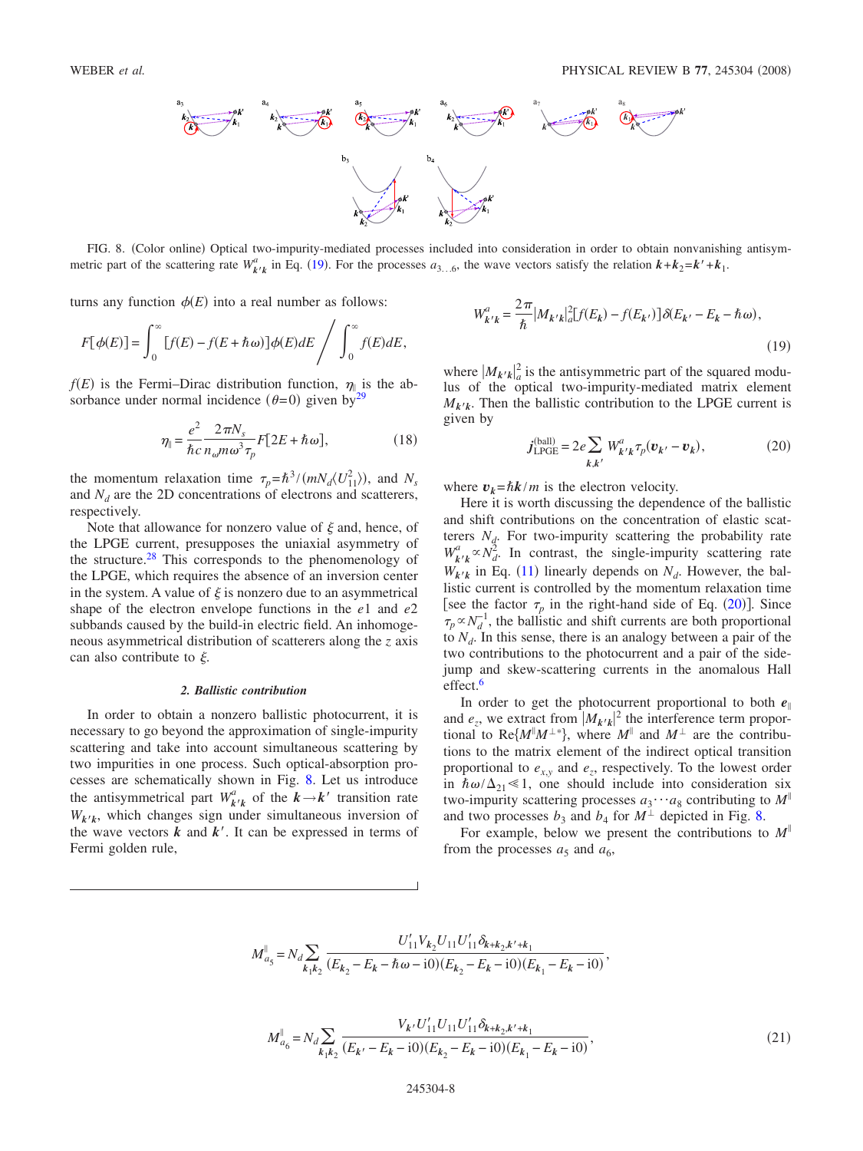<span id="page-7-0"></span>

FIG. 8. (Color online) Optical two-impurity-mediated processes included into consideration in order to obtain nonvanishing antisymmetric part of the scattering rate  $W_{k'k}^a$  in Eq. ([19](#page-7-2)). For the processes  $a_{3...6}$ , the wave vectors satisfy the relation  $k + k_2 = k' + k_1$ .

turns any function  $\phi(E)$  into a real number as follows:

$$
F[\phi(E)] = \int_0^\infty [f(E) - f(E + \hbar \omega)] \phi(E) dE / \int_0^\infty f(E) dE,
$$

 $f(E)$  is the Fermi–Dirac distribution function,  $\eta_{\parallel}$  is the absorbance under normal incidence  $(\theta=0)$  given by<sup>29</sup>

$$
\eta_{\parallel} = \frac{e^2}{\hbar c} \frac{2\pi N_s}{n_{\omega} m \omega^3 \tau_p} F[2E + \hbar \omega],\tag{18}
$$

<span id="page-7-3"></span>the momentum relaxation time  $\tau_p = \hbar^{3} / (mN_d \langle U_{11}^2 \rangle)$ , and  $N_s$ and  $N_d$  are the 2D concentrations of electrons and scatterers, respectively.

Note that allowance for nonzero value of  $\xi$  and, hence, of the LPGE current, presupposes the uniaxial asymmetry of the structure[.28](#page-11-24) This corresponds to the phenomenology of the LPGE, which requires the absence of an inversion center in the system. A value of  $\xi$  is nonzero due to an asymmetrical shape of the electron envelope functions in the *e*1 and *e*2 subbands caused by the build-in electric field. An inhomogeneous asymmetrical distribution of scatterers along the *z* axis can also contribute to  $\xi$ .

#### *2. Ballistic contribution*

In order to obtain a nonzero ballistic photocurrent, it is necessary to go beyond the approximation of single-impurity scattering and take into account simultaneous scattering by two impurities in one process. Such optical-absorption processes are schematically shown in Fig. [8.](#page-7-0) Let us introduce the antisymmetrical part  $W_{k'k}^a$  of the  $k \rightarrow k'$  transition rate  $W_{k/k}$ , which changes sign under simultaneous inversion of the wave vectors  $k$  and  $k'$ . It can be expressed in terms of Fermi golden rule,

<span id="page-7-2"></span>
$$
W_{k'k}^{a} = \frac{2\pi}{\hbar} |M_{k'k}|_{a}^{2} [f(E_{k}) - f(E_{k'})] \delta(E_{k'} - E_{k} - \hbar \omega),
$$
\n(19)

where  $|M_{k'k}|_a^2$  is the antisymmetric part of the squared modulus of the optical two-impurity-mediated matrix element  $M_{k'k}$ . Then the ballistic contribution to the LPGE current is given by

$$
j_{\text{LPGE}}^{\text{(ball)}} = 2e \sum_{k,k'} W_{k'k}^a \tau_p(\boldsymbol{v}_{k'} - \boldsymbol{v}_k), \tag{20}
$$

<span id="page-7-1"></span>where  $v_k = \hbar k/m$  is the electron velocity.

Here it is worth discussing the dependence of the ballistic and shift contributions on the concentration of elastic scatterers  $N_d$ . For two-impurity scattering the probability rate  $W_{\mathbf{k}^{\prime} \mathbf{k}}^{a} \propto N_d^2$ . In contrast, the single-impurity scattering rate  $W_{k'k}$  in Eq. ([11](#page-6-5)) linearly depends on  $N_d$ . However, the ballistic current is controlled by the momentum relaxation time [see the factor  $\tau_p$  in the right-hand side of Eq. ([20](#page-7-1))]. Since  $\tau_p \propto N_d^{-1}$ , the ballistic and shift currents are both proportional to  $N_d$ . In this sense, there is an analogy between a pair of the two contributions to the photocurrent and a pair of the sidejump and skew-scattering currents in the anomalous Hall effect.<sup>6</sup>

In order to get the photocurrent proportional to both  $e_{\parallel}$ and  $e_z$ , we extract from  $|M_{k'k}|^2$  the interference term proportional to Re $\{M^{\parallel}M^{\perp*}\}\$ , where  $M^{\parallel}$  and  $M^{\perp}$  are the contributions to the matrix element of the indirect optical transition proportional to  $e_{xx}$  and  $e_{yy}$ , respectively. To the lowest order in  $\hbar \omega / \Delta_{21} \ll 1$ , one should include into consideration six two-impurity scattering processes  $a_3 \cdots a_8$  contributing to  $M^{\parallel}$ and two processes  $b_3$  and  $b_4$  for  $M^{\perp}$  depicted in Fig. [8.](#page-7-0)

For example, below we present the contributions to *M* from the processes  $a_5$  and  $a_6$ ,

$$
M_{a_5}^{\parallel} = N_d \sum_{k_1 k_2} \frac{U_{11}' V_{k_2} U_{11} U_{11}' \delta_{k+k_2, k'+k_1}}{(E_{k_2} - E_k - \hbar \omega - i0)(E_{k_2} - E_k - i0)(E_{k_1} - E_k - i0)},
$$

$$
M_{a_6}^{\parallel} = N_d \sum_{k_1 k_2} \frac{V_{k'} U_{11}' U_{11} U_{11}' \delta_{k+k_2, k'+k_1}}{(E_{k'} - E_k - i0)(E_{k_2} - E_k - i0)(E_{k_1} - E_k - i0)},
$$
\n(21)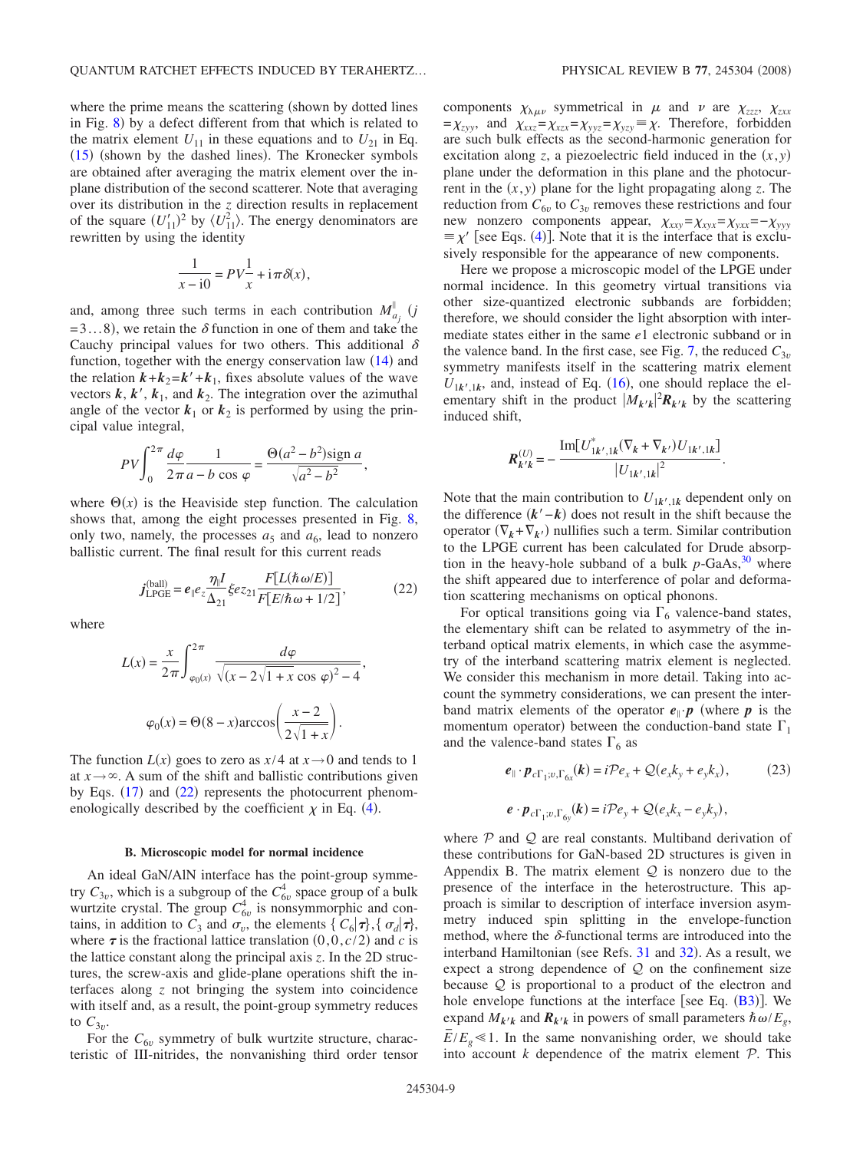where the prime means the scattering (shown by dotted lines in Fig.  $8$ ) by a defect different from that which is related to the matrix element  $U_{11}$  in these equations and to  $U_{21}$  in Eq. ([15](#page-6-2)) (shown by the dashed lines). The Kronecker symbols are obtained after averaging the matrix element over the inplane distribution of the second scatterer. Note that averaging over its distribution in the *z* direction results in replacement of the square  $(U'_{11})^2$  by  $\langle U^2_{11} \rangle$ . The energy denominators are rewritten by using the identity

$$
\frac{1}{x-10} = PV\frac{1}{x} + i\pi\delta(x),
$$

and, among three such terms in each contribution  $M_{a_j}^{\parallel}$  (*j*  $=3...8$ , we retain the  $\delta$  function in one of them and take the Cauchy principal values for two others. This additional  $\delta$ function, together with the energy conservation law  $(14)$  $(14)$  $(14)$  and the relation  $k+k_2=k'+k_1$ , fixes absolute values of the wave vectors  $k, k', k_1,$  and  $k_2$ . The integration over the azimuthal angle of the vector  $k_1$  or  $k_2$  is performed by using the principal value integral,

$$
PV\int_0^{2\pi} \frac{d\varphi}{2\pi a - b \cos \varphi} = \frac{\Theta(a^2 - b^2)\text{sign }a}{\sqrt{a^2 - b^2}},
$$

where  $\Theta(x)$  is the Heaviside step function. The calculation shows that, among the eight processes presented in Fig. [8,](#page-7-0) only two, namely, the processes  $a_5$  and  $a_6$ , lead to nonzero ballistic current. The final result for this current reads

$$
j_{\text{LPGE}}^{\text{(ball)}} = e_{\parallel} e_z \frac{\eta_{\parallel} I}{\Delta_{21}} \xi e z_{21} \frac{F[L(\hbar \omega/E)]}{F[E/\hbar \omega + 1/2]},\tag{22}
$$

<span id="page-8-0"></span>where

$$
L(x) = \frac{x}{2\pi} \int_{\varphi_0(x)}^{2\pi} \frac{d\varphi}{\sqrt{(x - 2\sqrt{1 + x}\cos\varphi)^2 - 4}},
$$

$$
\varphi_0(x) = \Theta(8 - x)\arccos\left(\frac{x - 2}{2\sqrt{1 + x}}\right).
$$

The function  $L(x)$  goes to zero as  $x/4$  at  $x \rightarrow 0$  and tends to 1 at  $x \rightarrow \infty$ . A sum of the shift and ballistic contributions given by Eqs. ([17](#page-6-6)) and ([22](#page-8-0)) represents the photocurrent phenomenologically described by the coefficient  $\chi$  in Eq. ([4](#page-4-3)).

### **B. Microscopic model for normal incidence**

An ideal GaN/AlN interface has the point-group symmetry  $C_{3v}$ , which is a subgroup of the  $C_{6v}^4$  space group of a bulk wurtzite crystal. The group  $C_{6v}^4$  is nonsymmorphic and contains, in addition to  $C_3$  and  $\sigma_v$ , the elements {  $C_6|\tau\rangle$ , {  $\sigma_d|\tau\rangle$ , where  $\tau$  is the fractional lattice translation  $(0,0,c/2)$  and *c* is the lattice constant along the principal axis *z*. In the 2D structures, the screw-axis and glide-plane operations shift the interfaces along *z* not bringing the system into coincidence with itself and, as a result, the point-group symmetry reduces to  $C_{3v}$ .

For the  $C_{6v}$  symmetry of bulk wurtzite structure, characteristic of III-nitrides, the nonvanishing third order tensor components  $\chi_{\lambda\mu\nu}$  symmetrical in  $\mu$  and  $\nu$  are  $\chi_{zzz}$ ,  $\chi_{zxx}$  $=\chi_{zyy}$ , and  $\chi_{xxz} = \chi_{xzx} = \chi_{yyz} = \chi_{yzy} \equiv \chi$ . Therefore, forbidden are such bulk effects as the second-harmonic generation for excitation along *z*, a piezoelectric field induced in the  $(x, y)$ plane under the deformation in this plane and the photocurrent in the  $(x, y)$  plane for the light propagating along *z*. The reduction from  $C_{6v}$  to  $C_{3v}$  removes these restrictions and four new nonzero components appear,  $\chi_{xxy} = \chi_{xyx} = \chi_{yxx} = -\chi_{yyy}$  $\equiv \chi'$  [see Eqs. ([4](#page-4-3))]. Note that it is the interface that is exclusively responsible for the appearance of new components.

Here we propose a microscopic model of the LPGE under normal incidence. In this geometry virtual transitions via other size-quantized electronic subbands are forbidden; therefore, we should consider the light absorption with intermediate states either in the same *e*1 electronic subband or in the valence band. In the first case, see Fig. [7,](#page-6-1) the reduced  $C_{3v}$ symmetry manifests itself in the scattering matrix element  $U_{1k',1k}$ , and, instead of Eq. ([16](#page-6-7)), one should replace the elementary shift in the product  $|M_{k'k}|^2 R_{k'k}$  by the scattering induced shift,

$$
R_{k'k}^{(U)} = -\frac{\text{Im}[U_{1k',1k}^{*}(\nabla_{k} + \nabla_{k'})U_{1k',1k}]}{|U_{1k',1k}|^{2}}.
$$

Note that the main contribution to  $U_{1k',1k}$  dependent only on the difference *k*−*k*- does not result in the shift because the operator  $(\nabla_k + \nabla_{k'})$  nullifies such a term. Similar contribution to the LPGE current has been calculated for Drude absorption in the heavy-hole subband of a bulk  $p$ -GaAs,  $30$  where the shift appeared due to interference of polar and deformation scattering mechanisms on optical phonons.

For optical transitions going via  $\Gamma_6$  valence-band states, the elementary shift can be related to asymmetry of the interband optical matrix elements, in which case the asymmetry of the interband scattering matrix element is neglected. We consider this mechanism in more detail. Taking into account the symmetry considerations, we can present the interband matrix elements of the operator  $e_{\parallel} \cdot p$  (where p is the momentum operator) between the conduction-band state  $\Gamma_1$ and the valence-band states  $\Gamma_6$  as

$$
\boldsymbol{e}_{\parallel} \cdot \boldsymbol{p}_{c\Gamma_1; v, \Gamma_{6x}}(\boldsymbol{k}) = i\mathcal{P}e_x + \mathcal{Q}(e_x k_y + e_y k_x), \tag{23}
$$

$$
\boldsymbol{e} \cdot \boldsymbol{p}_{c\Gamma_1; v, \Gamma_{6y}}(\boldsymbol{k}) = i\mathcal{P}e_y + \mathcal{Q}(e_x k_x - e_y k_y),
$$

<span id="page-8-1"></span>where  $P$  and  $Q$  are real constants. Multiband derivation of these contributions for GaN-based 2D structures is given in Appendix B. The matrix element  $Q$  is nonzero due to the presence of the interface in the heterostructure. This approach is similar to description of interface inversion asymmetry induced spin splitting in the envelope-function method, where the  $\delta$ -functional terms are introduced into the interband Hamiltonian (see Refs. [31](#page-11-27) and [32](#page-11-28)). As a result, we expect a strong dependence of  $Q$  on the confinement size because  $Q$  is proportional to a product of the electron and hole envelope functions at the interface [see Eq.  $(B3)$  $(B3)$  $(B3)$ ]. We expand  $M_{k'k}$  and  $R_{k'k}$  in powers of small parameters  $\hbar \omega / E_{g}$ ,  $E/E_g \le 1$ . In the same nonvanishing order, we should take into account  $k$  dependence of the matrix element  $P$ . This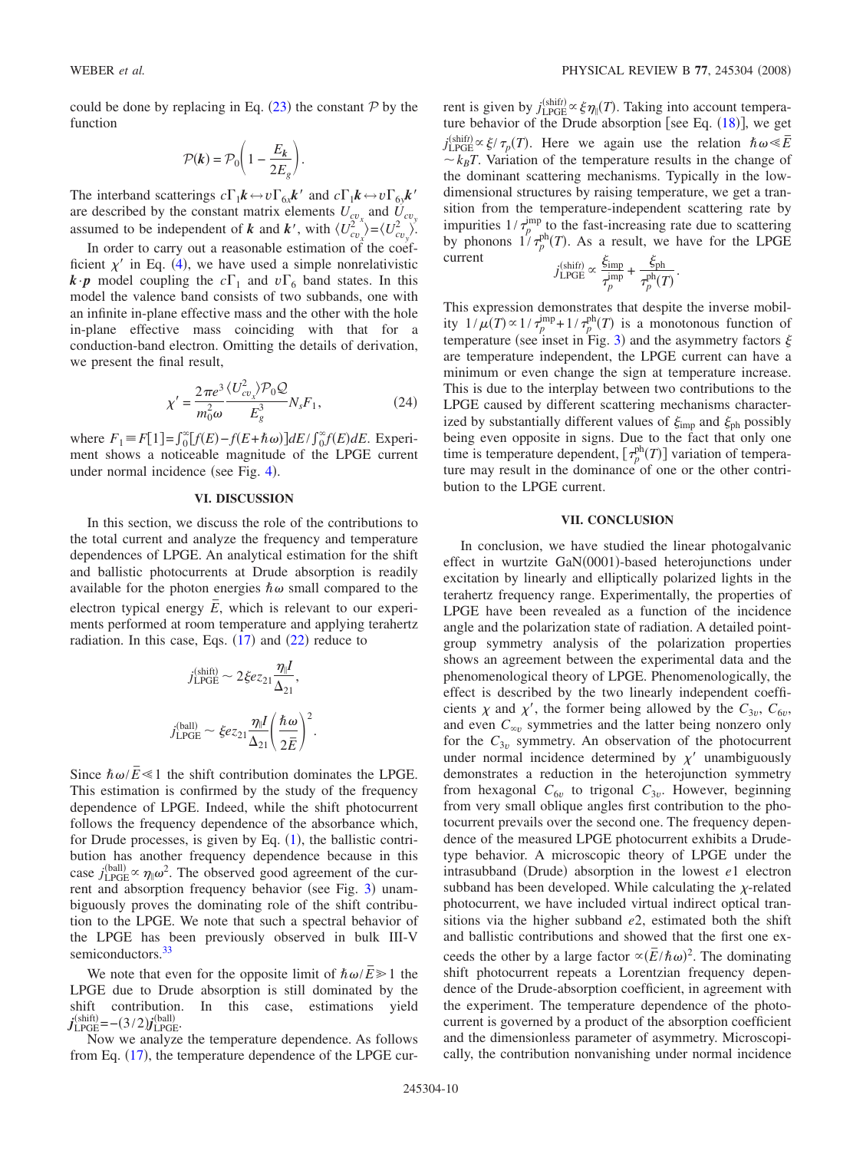could be done by replacing in Eq.  $(23)$  $(23)$  $(23)$  the constant P by the function

$$
\mathcal{P}(k) = \mathcal{P}_0 \bigg( 1 - \frac{E_k}{2E_g} \bigg).
$$

The interband scatterings  $c\Gamma_1\mathbf{k} \leftrightarrow v\Gamma_{6x}\mathbf{k}'$  and  $c\Gamma_1\mathbf{k} \leftrightarrow v\Gamma_{6y}\mathbf{k}'$  are described by the constant matrix elements  $U_{cv_x}$  and  $U_{cv_y}$ assumed to be independent of *k* and *k'*, with  $\langle U_{cv_x}^2 \rangle = \langle U_{cv_y}^2 \rangle$ .

In order to carry out a reasonable estimation of the coefficient  $\chi'$  in Eq. ([4](#page-4-3)), we have used a simple nonrelativistic  $\mathbf{k} \cdot \mathbf{p}$  model coupling the  $c\Gamma_1$  and  $v\Gamma_6$  band states. In this model the valence band consists of two subbands, one with an infinite in-plane effective mass and the other with the hole in-plane effective mass coinciding with that for a conduction-band electron. Omitting the details of derivation, we present the final result,

$$
\chi' = \frac{2\pi e^3}{m_0^2 \omega} \frac{\langle U_{cv}^2 \rangle \mathcal{P}_0 \mathcal{Q}}{E_g^3} N_s F_1,\tag{24}
$$

where  $F_1 = F[1] = \int_0^\infty [f(E) - f(E + \hbar \omega)] dE / \int_0^\infty f(E) dE$ . Experiment shows a noticeable magnitude of the LPGE current under normal incidence (see Fig. [4](#page-2-0)).

### **VI. DISCUSSION**

In this section, we discuss the role of the contributions to the total current and analyze the frequency and temperature dependences of LPGE. An analytical estimation for the shift and ballistic photocurrents at Drude absorption is readily available for the photon energies  $\hbar \omega$  small compared to the electron typical energy  $\overline{E}$ , which is relevant to our experiments performed at room temperature and applying terahertz radiation. In this case, Eqs.  $(17)$  $(17)$  $(17)$  and  $(22)$  $(22)$  $(22)$  reduce to

$$
j_{\text{LPGE}}^{(\text{shift})} \sim 2\xi e z_{21} \frac{\eta_l I}{\Delta_{21}},
$$

$$
j_{\text{LPGE}}^{(\text{ball})} \sim \xi e z_{21} \frac{\eta_l I}{\Delta_{21}} \left(\frac{\hbar \omega}{2\bar{E}}\right)^2.
$$

Since  $\hbar \omega / \bar{E} \le 1$  the shift contribution dominates the LPGE. This estimation is confirmed by the study of the frequency dependence of LPGE. Indeed, while the shift photocurrent follows the frequency dependence of the absorbance which, for Drude processes, is given by Eq.  $(1)$  $(1)$  $(1)$ , the ballistic contribution has another frequency dependence because in this case  $j_{\text{LPGE}}^{\text{(ball)}} \propto \eta_{\parallel} \omega^2$ . The observed good agreement of the cur-rent and absorption frequency behavior (see Fig. [3](#page-2-1)) unambiguously proves the dominating role of the shift contribution to the LPGE. We note that such a spectral behavior of the LPGE has been previously observed in bulk III-V semiconductors.<sup>33</sup>

We note that even for the opposite limit of  $\hbar \omega / \bar{E} \ge 1$  the LPGE due to Drude absorption is still dominated by the shift contribution. In this case, estimations yield  $j_{\text{LPGE}}^{\text{(shift)}} = -(3/2) j_{\text{LPGE}}^{\text{(ball)}}$ .

Now we analyze the temperature dependence. As follows from Eq. ([17](#page-6-6)), the temperature dependence of the LPGE cur-

rent is given by  $j_{\text{LPGE}}^{(\text{shift})} \propto \xi \eta_{\parallel}(T)$ . Taking into account temperature behavior of the Drude absorption [see Eq.  $(18)$  $(18)$  $(18)$ ], we get  $j_{\text{LPGE}}^{(\text{shift})} \propto \xi / \tau_p(T)$ . Here we again use the relation  $\hbar \omega \ll \bar{E}$  $k_B T$ . Variation of the temperature results in the change of the dominant scattering mechanisms. Typically in the lowdimensional structures by raising temperature, we get a transition from the temperature-independent scattering rate by impurities  $1/\tau_p^{\text{imp}}$  to the fast-increasing rate due to scattering by phonons  $1/\tau_p^{ph}(T)$ . As a result, we have for the LPGE current

$$
j_{\text{LPGE}}^{\text{(shift)}} \propto \frac{\xi_{\text{imp}}}{\tau_p^{\text{imp}}} + \frac{\xi_{\text{ph}}}{\tau_p^{\text{ph}}(T)}.
$$

This expression demonstrates that despite the inverse mobility  $1/\mu(T) \propto 1/\tau_p^{\text{imp}} + 1/\tau_p^{\text{ph}}(T)$  is a monotonous function of temperature (see inset in Fig. [3](#page-2-1)) and the asymmetry factors  $\xi$ are temperature independent, the LPGE current can have a minimum or even change the sign at temperature increase. This is due to the interplay between two contributions to the LPGE caused by different scattering mechanisms characterized by substantially different values of  $\xi_{\text{imp}}$  and  $\xi_{\text{ph}}$  possibly being even opposite in signs. Due to the fact that only one time is temperature dependent,  $\left[\tau_p^{ph}(T)\right]$  variation of temperature may result in the dominance of one or the other contribution to the LPGE current.

### **VII. CONCLUSION**

In conclusion, we have studied the linear photogalvanic effect in wurtzite GaN(0001)-based heterojunctions under excitation by linearly and elliptically polarized lights in the terahertz frequency range. Experimentally, the properties of LPGE have been revealed as a function of the incidence angle and the polarization state of radiation. A detailed pointgroup symmetry analysis of the polarization properties shows an agreement between the experimental data and the phenomenological theory of LPGE. Phenomenologically, the effect is described by the two linearly independent coefficients  $\chi$  and  $\chi'$ , the former being allowed by the  $C_{3v}$ ,  $C_{6v}$ , and even  $C_{\infty}$  symmetries and the latter being nonzero only for the  $C_{3v}$  symmetry. An observation of the photocurrent under normal incidence determined by  $\chi'$  unambiguously demonstrates a reduction in the heterojunction symmetry from hexagonal  $C_{6v}$  to trigonal  $C_{3v}$ . However, beginning from very small oblique angles first contribution to the photocurrent prevails over the second one. The frequency dependence of the measured LPGE photocurrent exhibits a Drudetype behavior. A microscopic theory of LPGE under the intrasubband (Drude) absorption in the lowest *e*1 electron subband has been developed. While calculating the  $\chi$ -related photocurrent, we have included virtual indirect optical transitions via the higher subband *e*2, estimated both the shift and ballistic contributions and showed that the first one exceeds the other by a large factor  $\alpha(\bar{E}/\hbar\omega)^2$ . The dominating shift photocurrent repeats a Lorentzian frequency dependence of the Drude-absorption coefficient, in agreement with the experiment. The temperature dependence of the photocurrent is governed by a product of the absorption coefficient and the dimensionless parameter of asymmetry. Microscopically, the contribution nonvanishing under normal incidence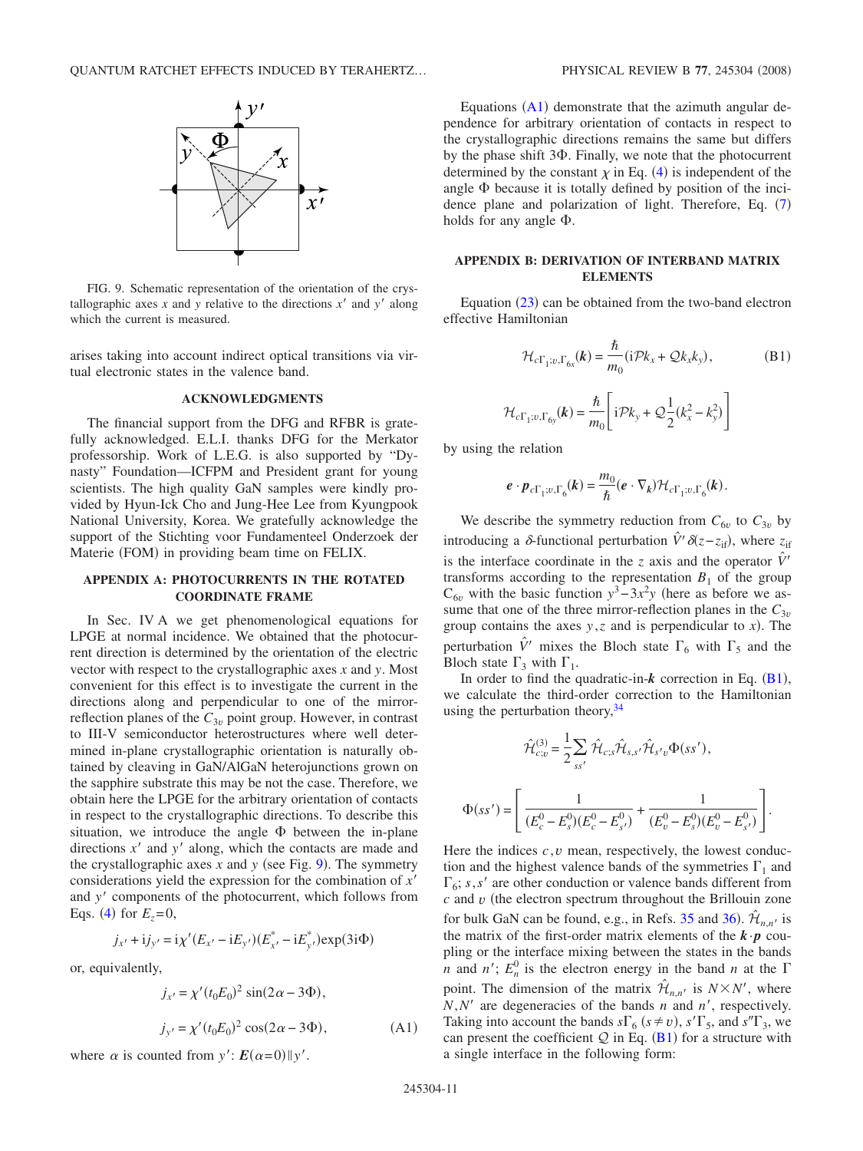<span id="page-10-0"></span>

FIG. 9. Schematic representation of the orientation of the crystallographic axes  $x$  and  $y$  relative to the directions  $x'$  and  $y'$  along which the current is measured.

arises taking into account indirect optical transitions via virtual electronic states in the valence band.

#### **ACKNOWLEDGMENTS**

The financial support from the DFG and RFBR is gratefully acknowledged. E.L.I. thanks DFG for the Merkator professorship. Work of L.E.G. is also supported by "Dynasty" Foundation—ICFPM and President grant for young scientists. The high quality GaN samples were kindly provided by Hyun-Ick Cho and Jung-Hee Lee from Kyungpook National University, Korea. We gratefully acknowledge the support of the Stichting voor Fundamenteel Onderzoek der Materie (FOM) in providing beam time on FELIX.

# **APPENDIX A: PHOTOCURRENTS IN THE ROTATED COORDINATE FRAME**

In Sec. IV A we get phenomenological equations for LPGE at normal incidence. We obtained that the photocurrent direction is determined by the orientation of the electric vector with respect to the crystallographic axes *x* and *y*. Most convenient for this effect is to investigate the current in the directions along and perpendicular to one of the mirrorreflection planes of the  $C_{3v}$  point group. However, in contrast to III-V semiconductor heterostructures where well determined in-plane crystallographic orientation is naturally obtained by cleaving in GaN/AlGaN heterojunctions grown on the sapphire substrate this may be not the case. Therefore, we obtain here the LPGE for the arbitrary orientation of contacts in respect to the crystallographic directions. To describe this situation, we introduce the angle  $\Phi$  between the in-plane directions  $x'$  and  $y'$  along, which the contacts are made and the crystallographic axes  $x$  and  $y$  (see Fig. [9](#page-10-0)). The symmetry considerations yield the expression for the combination of *x* and y' components of the photocurrent, which follows from Eqs. ([4](#page-4-3)) for  $E_z = 0$ ,

$$
j_{x'} + i j_{y'} = i \chi'(E_{x'} - i E_{y'}) (E_{x'}^* - i E_{y'}^*) \exp(3i\Phi)
$$

or, equivalently,

$$
j_{x'} = \chi'(t_0 E_0)^2 \sin(2\alpha - 3\Phi),
$$
  
\n
$$
j_{y'} = \chi'(t_0 E_0)^2 \cos(2\alpha - 3\Phi),
$$
\n(A1)

<span id="page-10-1"></span>where  $\alpha$  is counted from  $y'$ :  $E(\alpha=0)$  ||y'.

Equations  $(A1)$  $(A1)$  $(A1)$  demonstrate that the azimuth angular dependence for arbitrary orientation of contacts in respect to the crystallographic directions remains the same but differs by the phase shift  $3\Phi$ . Finally, we note that the photocurrent determined by the constant  $\chi$  in Eq. ([4](#page-4-3)) is independent of the angle  $\Phi$  because it is totally defined by position of the incidence plane and polarization of light. Therefore, Eq.  $(7)$  $(7)$  $(7)$ holds for any angle  $\Phi$ .

# **APPENDIX B: DERIVATION OF INTERBAND MATRIX ELEMENTS**

<span id="page-10-2"></span>Equation  $(23)$  $(23)$  $(23)$  can be obtained from the two-band electron effective Hamiltonian

$$
\mathcal{H}_{c\Gamma_1; v, \Gamma_{6x}}(\boldsymbol{k}) = \frac{\hbar}{m_0} (\mathrm{i} \mathcal{P} k_x + \mathcal{Q} k_x k_y), \tag{B1}
$$

$$
\mathcal{H}_{c\Gamma_1; v, \Gamma_{6y}}(\boldsymbol{k}) = \frac{\hbar}{m_0} \left[ i\mathcal{P}k_y + \mathcal{Q}\frac{1}{2}(k_x^2 - k_y^2) \right]
$$

by using the relation

$$
\boldsymbol{e} \cdot \boldsymbol{p}_{c\Gamma_1; v, \Gamma_6}(\boldsymbol{k}) = \frac{m_0}{\hbar} (\boldsymbol{e} \cdot \nabla_{\boldsymbol{k}}) \mathcal{H}_{c\Gamma_1; v, \Gamma_6}(\boldsymbol{k}).
$$

We describe the symmetry reduction from  $C_{6v}$  to  $C_{3v}$  by introducing a  $\delta$ -functional perturbation  $\hat{V}' \delta(z - z_{if})$ , where  $z_{if}$ is the interface coordinate in the *z* axis and the operator  $\hat{V}'$ transforms according to the representation  $B_1$  of the group  $C_{6\nu}$  with the basic function  $y^3 - 3x^2y$  (here as before we assume that one of the three mirror-reflection planes in the  $C_{3v}$ group contains the axes  $y$ , *z* and is perpendicular to *x*). The perturbation  $\hat{V}'$  mixes the Bloch state  $\Gamma_6$  with  $\Gamma_5$  and the Bloch state  $\Gamma_3$  with  $\Gamma_1$ .

In order to find the quadratic-in- $k$  correction in Eq.  $(B1)$  $(B1)$  $(B1)$ , we calculate the third-order correction to the Hamiltonian using the perturbation theory,  $34$ 

$$
\hat{\mathcal{H}}_{c;v}^{(3)} = \frac{1}{2} \sum_{ss'} \hat{\mathcal{H}}_{c;s} \hat{\mathcal{H}}_{s,s'} \hat{\mathcal{H}}_{s'v} \Phi(s s'),
$$

$$
\Phi(s s') = \left[ \frac{1}{(E_c^0 - E_s^0)(E_c^0 - E_{s'}^0)} + \frac{1}{(E_v^0 - E_s^0)(E_v^0 - E_{s'}^0)} \right].
$$

Here the indices  $c, v$  mean, respectively, the lowest conduction and the highest valence bands of the symmetries  $\Gamma_1$  and  $\Gamma_6$ ; *s*, *s'* are other conduction or valence bands different from  $c$  and  $v$  (the electron spectrum throughout the Brillouin zone for bulk GaN can be found, e.g., in Refs. [35](#page-11-32) and [36](#page-11-33)).  $\hat{\mathcal{H}}_{n,n'}$  is the matrix of the first-order matrix elements of the  $\mathbf{k} \cdot \mathbf{p}$  coupling or the interface mixing between the states in the bands *n* and *n'*;  $E_n^0$  is the electron energy in the band *n* at the  $\Gamma$ point. The dimension of the matrix  $\hat{\mathcal{H}}_{n,n'}$  is  $N \times N'$ , where  $N, N'$  are degeneracies of the bands *n* and *n'*, respectively. Taking into account the bands  $s\Gamma_6$  ( $s \neq v$ ),  $s'\Gamma_5$ , and  $s''\Gamma_3$ , we can present the coefficient  $Q$  in Eq. ([B1](#page-10-2)) for a structure with a single interface in the following form: